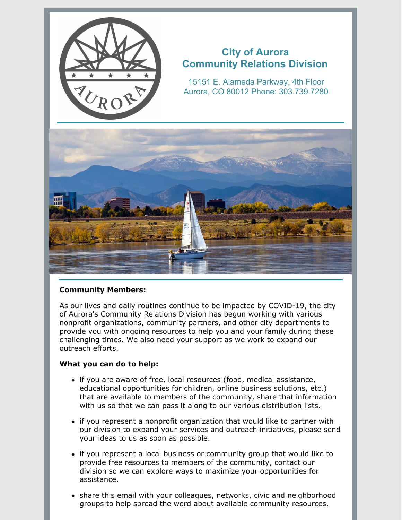

# **City of Aurora Community Relations Division**

15151 E. Alameda Parkway, 4th Floor Aurora, CO 80012 Phone: 303.739.7280



# **Community Members:**

As our lives and daily routines continue to be impacted by COVID-19, the city of Aurora's Community Relations Division has begun working with various nonprofit organizations, community partners, and other city departments to provide you with ongoing resources to help you and your family during these challenging times. We also need your support as we work to expand our outreach efforts.

# **What you can do to help:**

- if you are aware of free, local resources (food, medical assistance, educational opportunities for children, online business solutions, etc.) that are available to members of the community, share that information with us so that we can pass it along to our various distribution lists.
- if you represent a nonprofit organization that would like to partner with our division to expand your services and outreach initiatives, please send your ideas to us as soon as possible.
- if you represent a local business or community group that would like to provide free resources to members of the community, contact our division so we can explore ways to maximize your opportunities for assistance.
- share this email with your colleagues, networks, civic and neighborhood groups to help spread the word about available community resources.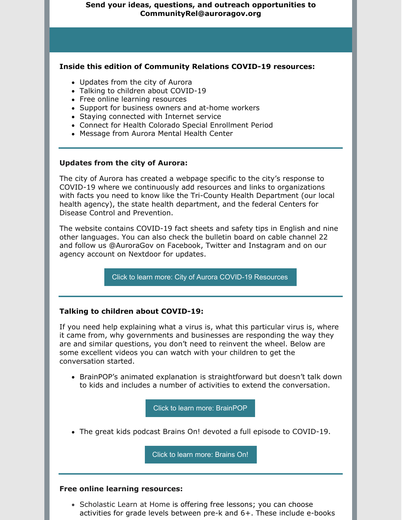## **Send your ideas, questions, and outreach opportunities to CommunityRel@auroragov.org**

## **Inside this edition of Community Relations COVID-19 resources:**

- Updates from the city of Aurora
- Talking to children about COVID-19
- Free online learning resources
- Support for business owners and at-home workers
- Staying connected with Internet service
- Connect for Health Colorado Special Enrollment Period
- Message from Aurora Mental Health Center

#### **Updates from the city of Aurora:**

The city of Aurora has created a webpage specific to the city's response to COVID-19 where we continuously add resources and links to organizations with facts you need to know like the Tri-County Health Department (our local health agency), the state health department, and the federal Centers for Disease Control and Prevention.

The website contains COVID-19 fact sheets and safety tips in English and nine other languages. You can also check the bulletin board on cable channel 22 and follow us @AuroraGov on Facebook, Twitter and Instagram and on our agency account on Nextdoor for updates.

Click to learn more: City of Aurora COVID-19 [Resources](https://www.auroragov.org/cms/one.aspx?pageId=16539096)

## **Talking to children about COVID-19:**

If you need help explaining what a virus is, what this particular virus is, where it came from, why governments and businesses are responding the way they are and similar questions, you don't need to reinvent the wheel. Below are some excellent videos you can watch with your children to get the conversation started.

• BrainPOP's animated [explanation](https://www.brainpop.com/health/diseasesinjuriesandconditions/coronavirus/) is straightforward but doesn't talk down to kids and includes a number of activities to extend the conversation.

Click to learn more: [BrainPOP](https://www.brainpop.com/health/diseasesinjuriesandconditions/coronavirus/)

The great kids podcast Brains On! devoted a full [episode](https://www.brainson.org/shows/2020/03/10/understanding-coronavirus-and-how-germs-spread-for-kids) to COVID-19.

Click to learn more: [Brains](https://www.brainson.org/shows/2020/03/10/understanding-coronavirus-and-how-germs-spread-for-kids) On!

#### **Free online learning resources:**

• Scholastic Learn at Home is offering free lessons; you can choose activities for grade levels between pre-k and 6+. These include e-books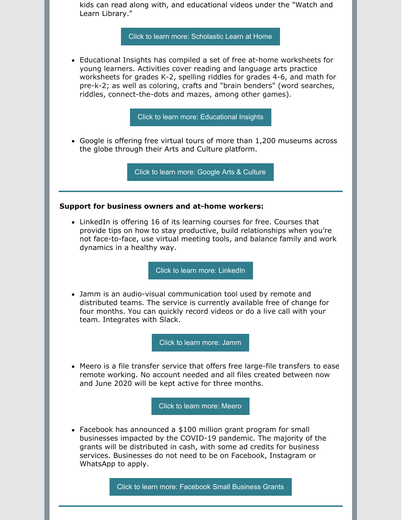kids can read along with, and educational videos under the "Watch and Learn Library."

Click to learn more: [Scholastic](https://classroommagazines.scholastic.com/support/learnathome.html) Learn at Home

Educational Insights has compiled a set of free at-home worksheets for young learners. Activities cover reading and language arts practice worksheets for grades K-2, spelling riddles for grades 4-6, and math for pre-k-2; as well as coloring, crafts and "brain benders" (word searches, riddles, connect-the-dots and mazes, among other games).

Click to learn more: [Educational](https://www.educationalinsights.com/at-home-activities-for-kids) Insights

Google is offering free virtual tours of more than 1,200 museums across the globe through their Arts and Culture [platform.](https://artsandculture.google.com/partner?hl=en)

Click to learn more: [Google](https://artsandculture.google.com/partner?hl=en) Arts & Culture

#### **Support for business owners and at-home workers:**

• LinkedIn is offering 16 of its [learning](https://www.forbes.com/sites/shamahyder/2020/03/15/coronavirus-champions-a-running-list-of-brands-getting-it-right/) courses for free. Courses that provide tips on how to stay productive, build relationships when you're not face-to-face, use virtual meeting tools, and balance family and work dynamics in a healthy way.

Click to learn more: [LinkedIn](https://www.linkedin.com/learning/paths/remote-working-setting-yourself-and-your-teams-up-for-success)

Jamm is an audio-visual [communication](https://jamm.app/en/) tool used by remote and distributed teams. The service is currently available free of change for four months. You can quickly record videos or do a live call with your team. Integrates with Slack.

Click to learn more: [Jamm](https://jammhq.typeform.com/to/m0mbZw)

• Meero is a file transfer service that offers free large-file [transfers](https://www.meerodrop.com/) to ease remote working. No account needed and all files created between now and June 2020 will be kept active for three months.

Click to learn more: [Meero](https://www.meero.com/en/newsroom/press_release/891/Meero-Provides-Free-Large-File-Transfers-To-Make-Working-From-Home-Easier)

Facebook has [announced](http://facebook.com/grantsforbusiness) a \$100 million grant program for small businesses impacted by the COVID-19 pandemic. The majority of the grants will be distributed in cash, with some ad credits for business services. Businesses do not need to be on Facebook, Instagram or WhatsApp to apply.

Click to learn more: [Facebook](https://www.facebook.com/business/boost/grants?ref=alias) Small Business Grants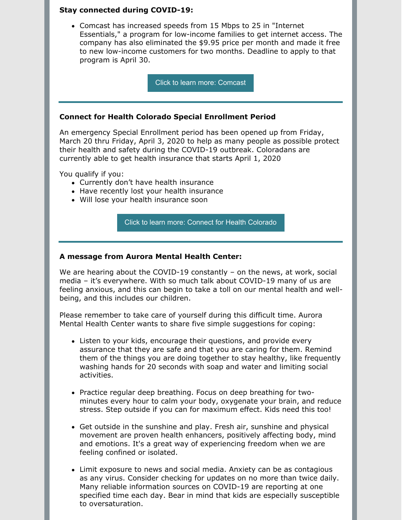## **Stay connected during COVID-19:**

Comcast has increased speeds from 15 Mbps to 25 in "Internet Essentials," a program for low-income families to get internet access. The company has also eliminated the \$9.95 price per month and made it free to new low-income customers for two months. Deadline to apply to that program is April 30.

Click to learn more: [Comcast](https://internetessentials.com/covid19)

#### **Connect for Health Colorado Special Enrollment Period**

An emergency Special Enrollment period has been opened up from Friday, March 20 thru Friday, April 3, 2020 to help as many people as possible protect their health and safety during the COVID-19 outbreak. Coloradans are currently able to get health insurance that starts April 1, 2020

You qualify if you:

- Currently don't have health insurance
- Have recently lost your health insurance
- Will lose your health insurance soon

Click to learn more: Connect for Health [Colorado](https://connectforhealthco.com/get-started/covid-19-support/)

## **A message from Aurora Mental Health Center:**

We are hearing about the COVID-19 constantly – on the news, at work, social media – it's everywhere. With so much talk about COVID-19 many of us are feeling anxious, and this can begin to take a toll on our mental health and wellbeing, and this includes our children.

Please remember to take care of yourself during this difficult time. Aurora Mental Health Center wants to share five simple suggestions for coping:

- Listen to your kids, encourage their questions, and provide every assurance that they are safe and that you are caring for them. Remind them of the things you are doing together to stay healthy, like frequently washing hands for 20 seconds with soap and water and limiting social activities.
- Practice regular deep breathing. Focus on deep breathing for twominutes every hour to calm your body, oxygenate your brain, and reduce stress. Step outside if you can for maximum effect. Kids need this too!
- Get outside in the sunshine and play. Fresh air, sunshine and physical movement are proven health enhancers, positively affecting body, mind and emotions. It's a great way of experiencing freedom when we are feeling confined or isolated.
- Limit exposure to news and social media. Anxiety can be as contagious as any virus. Consider checking for updates on no more than twice daily. Many reliable information sources on COVID-19 are reporting at one specified time each day. Bear in mind that kids are especially susceptible to oversaturation.